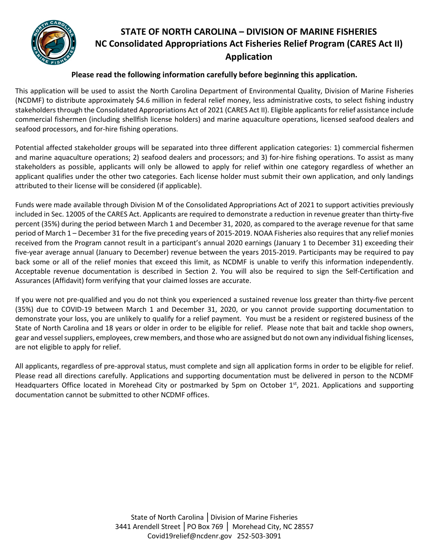

# **STATE OF NORTH CAROLINA – DIVISION OF MARINE FISHERIES NC Consolidated Appropriations Act Fisheries Relief Program (CARES Act II) Application**

#### **Please read the following information carefully before beginning this application.**

This application will be used to assist the North Carolina Department of Environmental Quality, Division of Marine Fisheries (NCDMF) to distribute approximately \$4.6 million in federal relief money, less administrative costs, to select fishing industry stakeholders through the Consolidated Appropriations Act of 2021 (CARES Act II). Eligible applicants for relief assistance include commercial fishermen (including shellfish license holders) and marine aquaculture operations, licensed seafood dealers and seafood processors, and for-hire fishing operations.

Potential affected stakeholder groups will be separated into three different application categories: 1) commercial fishermen and marine aquaculture operations; 2) seafood dealers and processors; and 3) for-hire fishing operations. To assist as many stakeholders as possible, applicants will only be allowed to apply for relief within one category regardless of whether an applicant qualifies under the other two categories. Each license holder must submit their own application, and only landings attributed to their license will be considered (if applicable).

Funds were made available through Division M of the Consolidated Appropriations Act of 2021 to support activities previously included in Sec. 12005 of the CARES Act. Applicants are required to demonstrate a reduction in revenue greater than thirty-five percent (35%) during the period between March 1 and December 31, 2020, as compared to the average revenue for that same period of March 1 – December 31 for the five preceding years of 2015-2019. NOAA Fisheries also requires that any relief monies received from the Program cannot result in a participant's annual 2020 earnings (January 1 to December 31) exceeding their five-year average annual (January to December) revenue between the years 2015-2019. Participants may be required to pay back some or all of the relief monies that exceed this limit, as NCDMF is unable to verify this information independently. Acceptable revenue documentation is described in Section 2. You will also be required to sign the Self-Certification and Assurances (Affidavit) form verifying that your claimed losses are accurate.

If you were not pre-qualified and you do not think you experienced a sustained revenue loss greater than thirty-five percent (35%) due to COVID-19 between March 1 and December 31, 2020, or you cannot provide supporting documentation to demonstrate your loss, you are unlikely to qualify for a relief payment. You must be a resident or registered business of the State of North Carolina and 18 years or older in order to be eligible for relief. Please note that bait and tackle shop owners, gear and vessel suppliers, employees, crew members, and those who are assigned but do not own any individual fishing licenses, are not eligible to apply for relief.

All applicants, regardless of pre-approval status, must complete and sign all application forms in order to be eligible for relief. Please read all directions carefully. Applications and supporting documentation must be delivered in person to the NCDMF Headquarters Office located in Morehead City or postmarked by 5pm on October 1st, 2021. Applications and supporting documentation cannot be submitted to other NCDMF offices.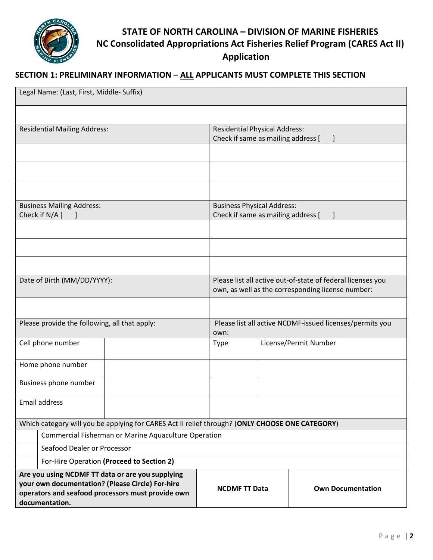

# **STATE OF NORTH CAROLINA – DIVISION OF MARINE FISHERIES NC Consolidated Appropriations Act Fisheries Relief Program (CARES Act II) Application**

### **SECTION 1: PRELIMINARY INFORMATION – ALL APPLICANTS MUST COMPLETE THIS SECTION**

| Legal Name: (Last, First, Middle- Suffix)                                                                                                                                   |                                                      |  |                                                             |                       |                          |  |  |  |
|-----------------------------------------------------------------------------------------------------------------------------------------------------------------------------|------------------------------------------------------|--|-------------------------------------------------------------|-----------------------|--------------------------|--|--|--|
|                                                                                                                                                                             |                                                      |  |                                                             |                       |                          |  |  |  |
| <b>Residential Mailing Address:</b>                                                                                                                                         |                                                      |  | <b>Residential Physical Address:</b>                        |                       |                          |  |  |  |
|                                                                                                                                                                             |                                                      |  | Check if same as mailing address [                          |                       |                          |  |  |  |
|                                                                                                                                                                             |                                                      |  |                                                             |                       |                          |  |  |  |
|                                                                                                                                                                             |                                                      |  |                                                             |                       |                          |  |  |  |
|                                                                                                                                                                             |                                                      |  |                                                             |                       |                          |  |  |  |
| <b>Business Mailing Address:</b>                                                                                                                                            |                                                      |  | <b>Business Physical Address:</b>                           |                       |                          |  |  |  |
| Check if N/A [                                                                                                                                                              |                                                      |  | Check if same as mailing address [                          |                       |                          |  |  |  |
|                                                                                                                                                                             |                                                      |  |                                                             |                       |                          |  |  |  |
|                                                                                                                                                                             |                                                      |  |                                                             |                       |                          |  |  |  |
|                                                                                                                                                                             |                                                      |  |                                                             |                       |                          |  |  |  |
| Date of Birth (MM/DD/YYYY):                                                                                                                                                 |                                                      |  | Please list all active out-of-state of federal licenses you |                       |                          |  |  |  |
|                                                                                                                                                                             |                                                      |  | own, as well as the corresponding license number:           |                       |                          |  |  |  |
|                                                                                                                                                                             |                                                      |  |                                                             |                       |                          |  |  |  |
| Please provide the following, all that apply:                                                                                                                               |                                                      |  | Please list all active NCDMF-issued licenses/permits you    |                       |                          |  |  |  |
|                                                                                                                                                                             |                                                      |  |                                                             | own:                  |                          |  |  |  |
| Cell phone number                                                                                                                                                           |                                                      |  | <b>Type</b>                                                 | License/Permit Number |                          |  |  |  |
|                                                                                                                                                                             | Home phone number                                    |  |                                                             |                       |                          |  |  |  |
| Business phone number                                                                                                                                                       |                                                      |  |                                                             |                       |                          |  |  |  |
| Email address                                                                                                                                                               |                                                      |  |                                                             |                       |                          |  |  |  |
|                                                                                                                                                                             |                                                      |  |                                                             |                       |                          |  |  |  |
| Which category will you be applying for CARES Act II relief through? (ONLY CHOOSE ONE CATEGORY)                                                                             |                                                      |  |                                                             |                       |                          |  |  |  |
|                                                                                                                                                                             | Commercial Fisherman or Marine Aquaculture Operation |  |                                                             |                       |                          |  |  |  |
|                                                                                                                                                                             | Seafood Dealer or Processor                          |  |                                                             |                       |                          |  |  |  |
| For-Hire Operation (Proceed to Section 2)                                                                                                                                   |                                                      |  |                                                             |                       |                          |  |  |  |
| Are you using NCDMF TT data or are you supplying<br>your own documentation? (Please Circle) For-hire<br>operators and seafood processors must provide own<br>documentation. |                                                      |  | <b>NCDMF TT Data</b>                                        |                       | <b>Own Documentation</b> |  |  |  |